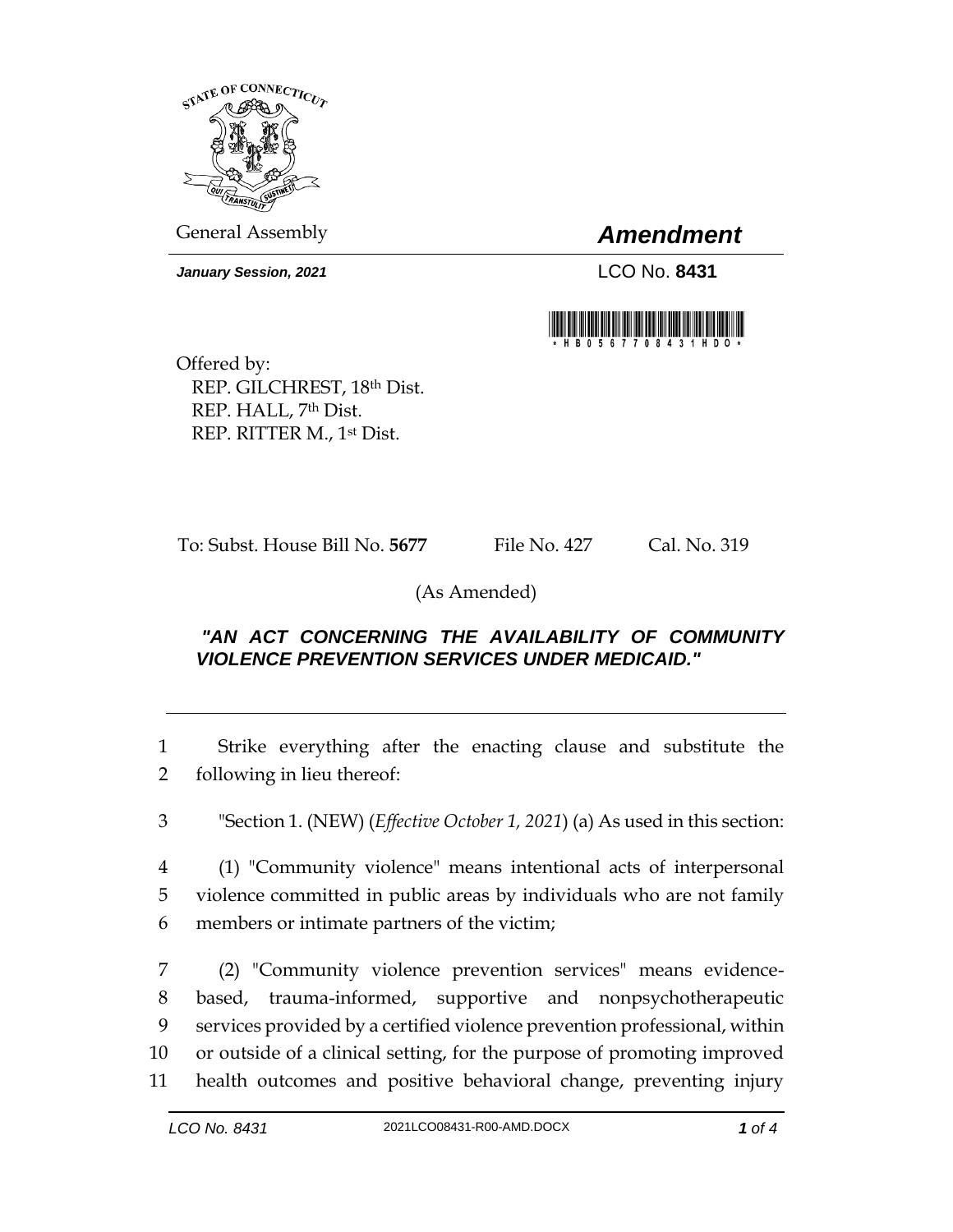

General Assembly *Amendment*

*January Session, 2021* LCO No. **8431**



Offered by: REP. GILCHREST, 18th Dist. REP. HALL, 7th Dist. REP. RITTER M., 1st Dist.

To: Subst. House Bill No. **5677** File No. 427 Cal. No. 319

(As Amended)

## *"AN ACT CONCERNING THE AVAILABILITY OF COMMUNITY VIOLENCE PREVENTION SERVICES UNDER MEDICAID."*

1 Strike everything after the enacting clause and substitute the 2 following in lieu thereof:

3 "Section 1. (NEW) (*Effective October 1, 2021*) (a) As used in this section:

4 (1) "Community violence" means intentional acts of interpersonal 5 violence committed in public areas by individuals who are not family 6 members or intimate partners of the victim;

 (2) "Community violence prevention services" means evidence- based, trauma-informed, supportive and nonpsychotherapeutic services provided by a certified violence prevention professional, within or outside of a clinical setting, for the purpose of promoting improved health outcomes and positive behavioral change, preventing injury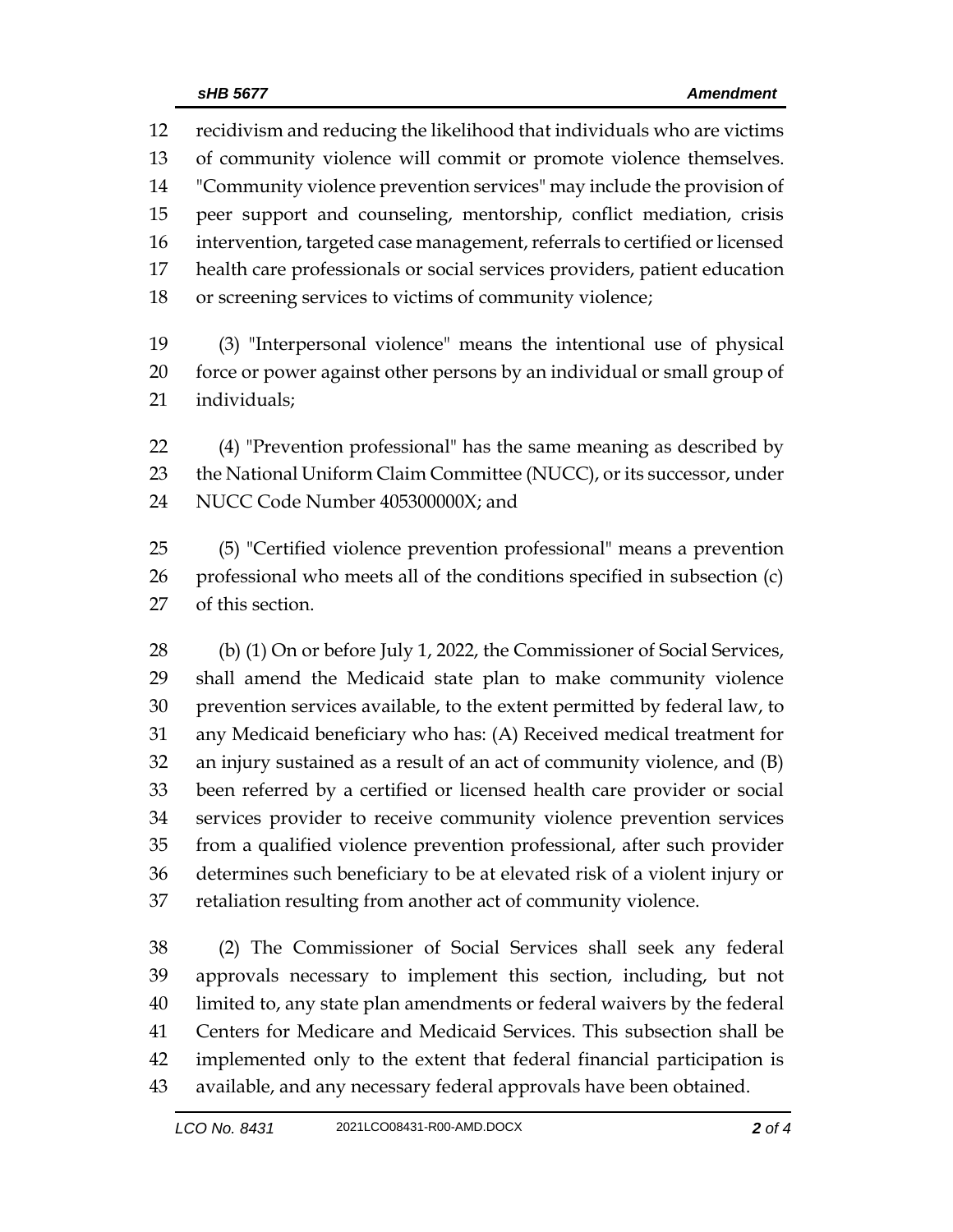recidivism and reducing the likelihood that individuals who are victims of community violence will commit or promote violence themselves. "Community violence prevention services" may include the provision of peer support and counseling, mentorship, conflict mediation, crisis intervention, targeted case management, referrals to certified or licensed health care professionals or social services providers, patient education or screening services to victims of community violence;

 (3) "Interpersonal violence" means the intentional use of physical force or power against other persons by an individual or small group of individuals;

 (4) "Prevention professional" has the same meaning as described by 23 the National Uniform Claim Committee (NUCC), or its successor, under NUCC Code Number 405300000X; and

 (5) "Certified violence prevention professional" means a prevention professional who meets all of the conditions specified in subsection (c) of this section.

28 (b) (1) On or before July 1, 2022, the Commissioner of Social Services, shall amend the Medicaid state plan to make community violence prevention services available, to the extent permitted by federal law, to any Medicaid beneficiary who has: (A) Received medical treatment for an injury sustained as a result of an act of community violence, and (B) been referred by a certified or licensed health care provider or social services provider to receive community violence prevention services from a qualified violence prevention professional, after such provider determines such beneficiary to be at elevated risk of a violent injury or retaliation resulting from another act of community violence.

 (2) The Commissioner of Social Services shall seek any federal approvals necessary to implement this section, including, but not limited to, any state plan amendments or federal waivers by the federal Centers for Medicare and Medicaid Services. This subsection shall be implemented only to the extent that federal financial participation is available, and any necessary federal approvals have been obtained.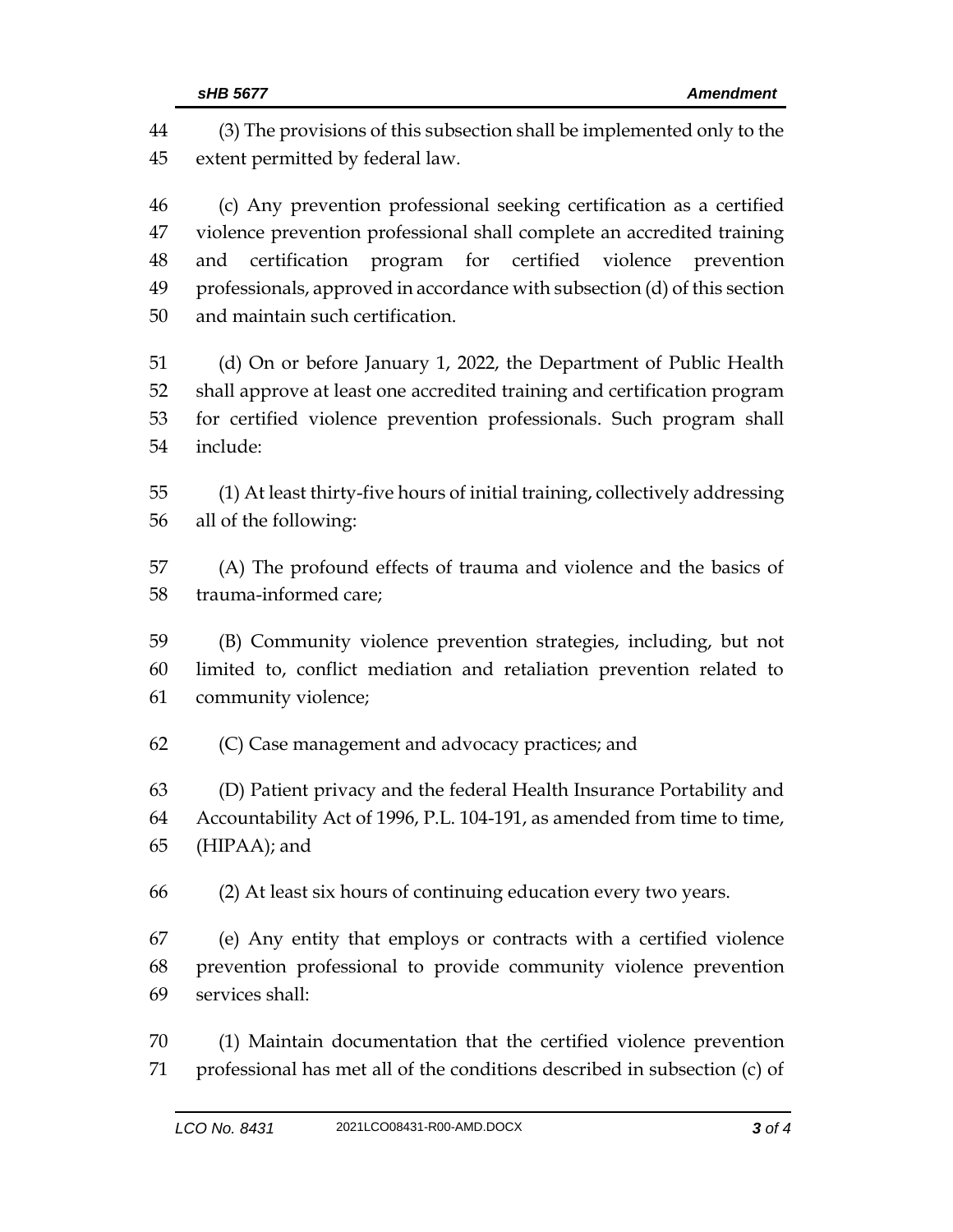(3) The provisions of this subsection shall be implemented only to the extent permitted by federal law. (c) Any prevention professional seeking certification as a certified violence prevention professional shall complete an accredited training and certification program for certified violence prevention professionals, approved in accordance with subsection (d) of this section and maintain such certification. (d) On or before January 1, 2022, the Department of Public Health shall approve at least one accredited training and certification program for certified violence prevention professionals. Such program shall include: (1) At least thirty-five hours of initial training, collectively addressing all of the following: (A) The profound effects of trauma and violence and the basics of trauma-informed care; (B) Community violence prevention strategies, including, but not limited to, conflict mediation and retaliation prevention related to community violence; (C) Case management and advocacy practices; and (D) Patient privacy and the federal Health Insurance Portability and Accountability Act of 1996, P.L. 104-191, as amended from time to time, (HIPAA); and (2) At least six hours of continuing education every two years. (e) Any entity that employs or contracts with a certified violence prevention professional to provide community violence prevention services shall: (1) Maintain documentation that the certified violence prevention professional has met all of the conditions described in subsection (c) of